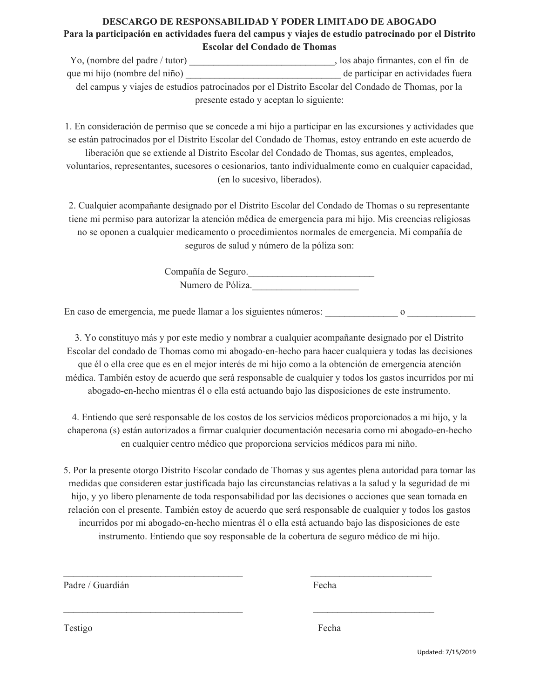## **DESCARGO DE RESPONSABILIDAD Y PODER LIMITADO DE ABOGADO Para la participación en actividades fuera del campus y viajes de estudio patrocinado por el Distrito Escolar del Condado de Thomas**

Yo, (nombre del padre / tutor) \_\_\_\_\_\_\_\_\_\_\_\_\_\_\_\_\_\_\_\_\_\_\_\_\_\_\_\_\_\_, los abajo firmantes, con el fin de que mi hijo (nombre del niño) de participar en actividades fuera del campus y viajes de estudios patrocinados por el Distrito Escolar del Condado de Thomas, por la presente estado y aceptan lo siguiente:

1. En consideración de permiso que se concede a mi hijo a participar en las excursiones y actividades que se están patrocinados por el Distrito Escolar del Condado de Thomas, estoy entrando en este acuerdo de liberación que se extiende al Distrito Escolar del Condado de Thomas, sus agentes, empleados, voluntarios, representantes, sucesores o cesionarios, tanto individualmente como en cualquier capacidad, (en lo sucesivo, liberados).

2. Cualquier acompañante designado por el Distrito Escolar del Condado de Thomas o su representante tiene mi permiso para autorizar la atención médica de emergencia para mi hijo. Mis creencias religiosas no se oponen a cualquier medicamento o procedimientos normales de emergencia. Mi compañía de seguros de salud y número de la póliza son:

> Compañía de Seguro. Numero de Póliza.

En caso de emergencia, me puede llamar a los siguientes números:  $\qquad \qquad$  o

3. Yo constituyo más y por este medio y nombrar a cualquier acompañante designado por el Distrito Escolar del condado de Thomas como mi abogado-en-hecho para hacer cualquiera y todas las decisiones que él o ella cree que es en el mejor interés de mi hijo como a la obtención de emergencia atención médica. También estoy de acuerdo que será responsable de cualquier y todos los gastos incurridos por mi abogado-en-hecho mientras él o ella está actuando bajo las disposiciones de este instrumento.

4. Entiendo que seré responsable de los costos de los servicios médicos proporcionados a mi hijo, y la chaperona (s) están autorizados a firmar cualquier documentación necesaria como mi abogado-en-hecho en cualquier centro médico que proporciona servicios médicos para mi niño.

5. Por la presente otorgo Distrito Escolar condado de Thomas y sus agentes plena autoridad para tomar las medidas que consideren estar justificada bajo las circunstancias relativas a la salud y la seguridad de mi hijo, y yo libero plenamente de toda responsabilidad por las decisiones o acciones que sean tomada en relación con el presente. También estoy de acuerdo que será responsable de cualquier y todos los gastos incurridos por mi abogado-en-hecho mientras él o ella está actuando bajo las disposiciones de este instrumento. Entiendo que soy responsable de la cobertura de seguro médico de mi hijo.

 $\mathcal{L}_\text{max}$  and the contract of the contract of the contract of the contract of the contract of the contract of

 $\mathcal{L}_\text{max} = \frac{1}{2} \sum_{i=1}^n \mathcal{L}_\text{max}(\mathbf{x}_i - \mathbf{y}_i)$ 

Padre / Guardián Fecha

Testigo Fecha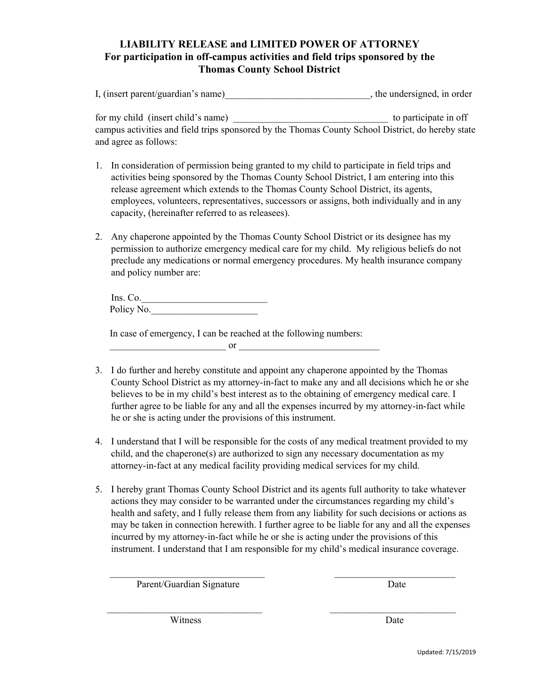## **LIABILITY RELEASE and LIMITED POWER OF ATTORNEY For participation in off-campus activities and field trips sponsored by the Thomas County School District**

| I, (insert parent/guardian's name)<br>the undersigned, in order |  |
|-----------------------------------------------------------------|--|
|                                                                 |  |

for my child (insert child's name) and the set of the set of the set of the set of the set of the set of the set of the set of the set of the set of the set of the set of the set of the set of the set of the set of the set campus activities and field trips sponsored by the Thomas County School District, do hereby state and agree as follows:

- 1. In consideration of permission being granted to my child to participate in field trips and activities being sponsored by the Thomas County School District, I am entering into this release agreement which extends to the Thomas County School District, its agents, employees, volunteers, representatives, successors or assigns, both individually and in any capacity, (hereinafter referred to as releasees).
- 2. Any chaperone appointed by the Thomas County School District or its designee has my permission to authorize emergency medical care for my child. My religious beliefs do not preclude any medications or normal emergency procedures. My health insurance company and policy number are:

Ins. Co.\_\_\_\_\_\_\_\_\_\_\_\_\_\_\_\_\_\_\_\_\_\_\_\_\_\_ Policy No.

In case of emergency, I can be reached at the following numbers:

 $\overline{\text{or}}$ 

- 3. I do further and hereby constitute and appoint any chaperone appointed by the Thomas County School District as my attorney-in-fact to make any and all decisions which he or she believes to be in my child's best interest as to the obtaining of emergency medical care. I further agree to be liable for any and all the expenses incurred by my attorney-in-fact while he or she is acting under the provisions of this instrument.
- 4. I understand that I will be responsible for the costs of any medical treatment provided to my child, and the chaperone(s) are authorized to sign any necessary documentation as my attorney-in-fact at any medical facility providing medical services for my child.
- 5. I hereby grant Thomas County School District and its agents full authority to take whatever actions they may consider to be warranted under the circumstances regarding my child's health and safety, and I fully release them from any liability for such decisions or actions as may be taken in connection herewith. I further agree to be liable for any and all the expenses incurred by my attorney-in-fact while he or she is acting under the provisions of this instrument. I understand that I am responsible for my child's medical insurance coverage.

 $\mathcal{L}_\text{max}$  and the contract of the contract of the contract of the contract of the contract of the contract of

 $\mathcal{L}_\text{max}$  and the contract of the contract of the contract of the contract of the contract of the contract of

Parent/Guardian Signature Date

Witness Date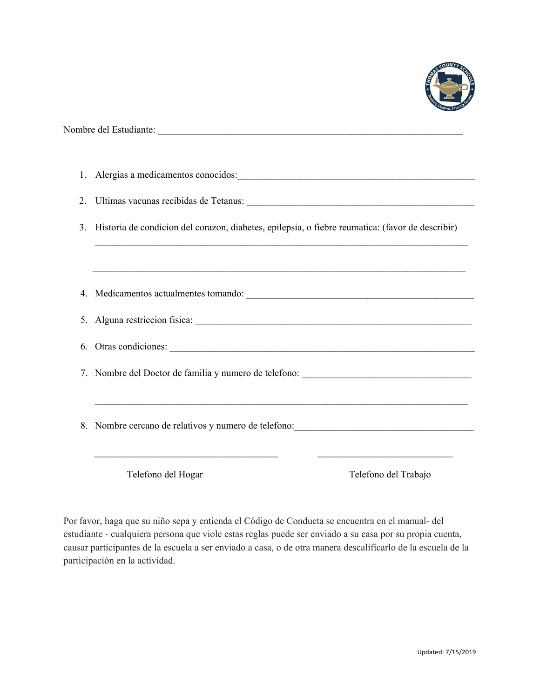

| 1. | Alergias a medicamentos conocidos:<br><u>Legions</u> and the conocidos:                                                                                                                                                                |                      |  |
|----|----------------------------------------------------------------------------------------------------------------------------------------------------------------------------------------------------------------------------------------|----------------------|--|
| 2. |                                                                                                                                                                                                                                        |                      |  |
| 3. | Historia de condicion del corazon, diabetes, epilepsia, o fiebre reumatica: (favor de describir)                                                                                                                                       |                      |  |
|    |                                                                                                                                                                                                                                        |                      |  |
|    |                                                                                                                                                                                                                                        |                      |  |
|    |                                                                                                                                                                                                                                        |                      |  |
|    |                                                                                                                                                                                                                                        |                      |  |
|    | 7. Nombre del Doctor de familia y numero de telefono: ___________________________                                                                                                                                                      |                      |  |
|    | 8. Nombre cercano de relativos y numero de telefono:<br><u>Contra de la contra de la contra de la contra de la contra de la contra de la contra de la contra de la contra de la contra de la contra de la contra de la contra de l</u> |                      |  |
|    | Telefono del Hogar                                                                                                                                                                                                                     | Telefono del Trabajo |  |

Por favor, haga que su niño sepa y entienda el Código de Conducta se encuentra en el manual- del estudiante - cualquiera persona que viole estas reglas puede ser enviado a su casa por su propia cuenta, causar participantes de la escuela a ser enviado a casa, o de otra manera descalificarlo de la escuela de la participación en la actividad.